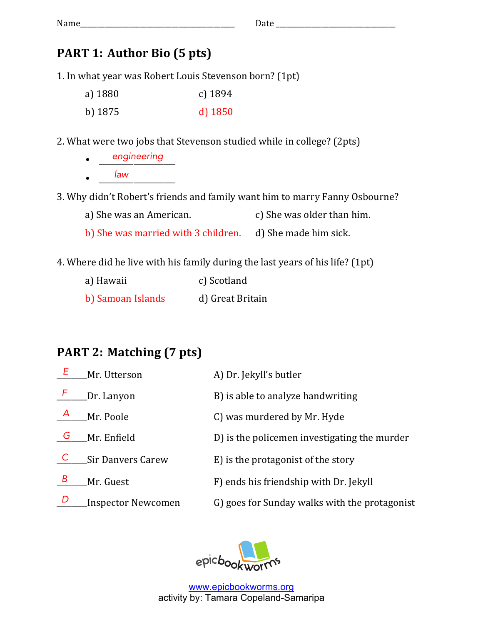## **PART 1: Author Bio (5 pts)**

1. In what year was Robert Louis Stevenson born? (1pt)

| a) 1880 | c) $1894$ |
|---------|-----------|
| b) 1875 | $d)$ 1850 |

2. What were two jobs that Stevenson studied while in college? (2pts)

• <u>engineering</u>  $\bullet$   $\overline{\qquad \qquad }$   $\overline{\qquad \qquad }$   $\overline{\qquad \qquad }$   $\overline{\qquad \qquad }$ *law*

3. Why didn't Robert's friends and family want him to marry Fanny Osbourne?

a) She was an American.  $\qquad c)$  She was older than him.

b) She was married with 3 children. d) She made him sick.

4. Where did he live with his family during the last years of his life? (1pt)

| a) Hawaii         | c) Scotland      |
|-------------------|------------------|
| b) Samoan Islands | d) Great Britain |

## **PART 2: Matching (7 pts)**

|               | Mr. Utterson              | A) Dr. Jekyll's butler                        |
|---------------|---------------------------|-----------------------------------------------|
| Æ             | Dr. Lanyon                | B) is able to analyze handwriting             |
| $\mathcal{A}$ | Mr. Poole                 | C) was murdered by Mr. Hyde                   |
| G             | Mr. Enfield               | D) is the policemen investigating the murder  |
|               | <b>Sir Danvers Carew</b>  | E) is the protagonist of the story            |
| Β             | Mr. Guest                 | F) ends his friendship with Dr. Jekyll        |
| D             | <b>Inspector Newcomen</b> | G) goes for Sunday walks with the protagonist |

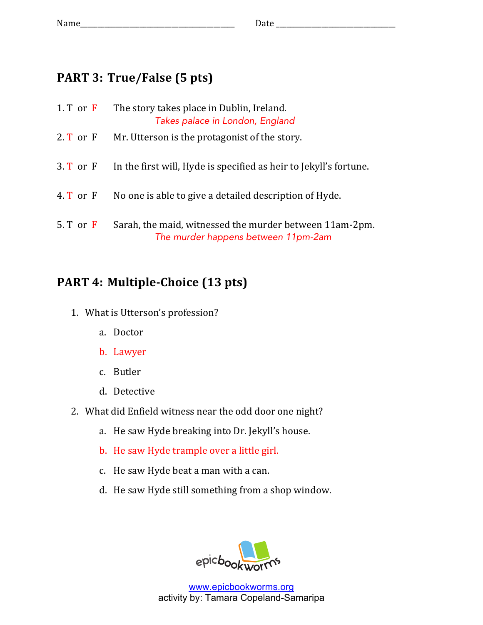## **PART 3: True/False (5 pts)**

| $1. T$ or $F$ | The story takes place in Dublin, Ireland.<br>Takes palace in London, England                   |
|---------------|------------------------------------------------------------------------------------------------|
| $2. T$ or $F$ | Mr. Utterson is the protagonist of the story.                                                  |
| $3. T$ or $F$ | In the first will, Hyde is specified as heir to Jekyll's fortune.                              |
| 4. $T$ or $F$ | No one is able to give a detailed description of Hyde.                                         |
| $5. T$ or $F$ | Sarah, the maid, witnessed the murder between 11am-2pm.<br>The murder happens between 11pm-2am |

## **PART 4: Multiple-Choice (13 pts)**

- 1. What is Utterson's profession?
	- a. Doctor
	- b. Lawyer
	- c. Butler
	- d. Detective
- 2. What did Enfield witness near the odd door one night?
	- a. He saw Hyde breaking into Dr. Jekyll's house.
	- b. He saw Hyde trample over a little girl.
	- c. He saw Hyde beat a man with a can.
	- d. He saw Hyde still something from a shop window.

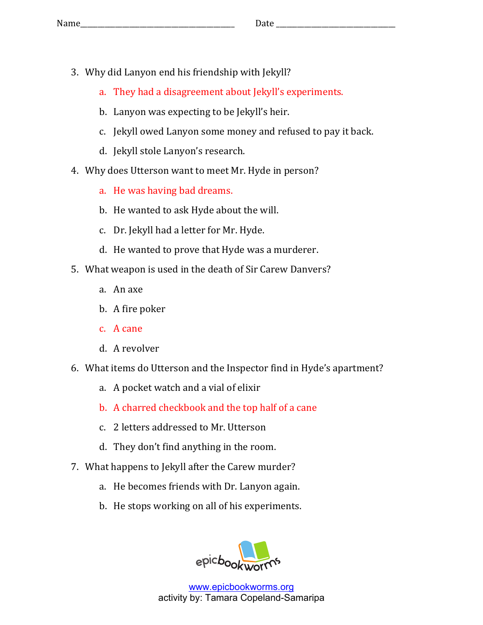- 3. Why did Lanyon end his friendship with Jekyll?
	- a. They had a disagreement about Jekyll's experiments.
	- b. Lanyon was expecting to be Jekyll's heir.
	- c. Jekyll owed Lanyon some money and refused to pay it back.
	- d. Jekyll stole Lanyon's research.
- 4. Why does Utterson want to meet Mr. Hyde in person?
	- a. He was having bad dreams.
	- b. He wanted to ask Hyde about the will.
	- c. Dr. Jekyll had a letter for Mr. Hyde.
	- d. He wanted to prove that Hyde was a murderer.
- 5. What weapon is used in the death of Sir Carew Danvers?
	- a. An axe
	- b. A fire poker
	- c. A cane
	- d. A revolver
- 6. What items do Utterson and the Inspector find in Hyde's apartment?
	- a. A pocket watch and a vial of elixir
	- b. A charred checkbook and the top half of a cane
	- c. 2 letters addressed to Mr. Utterson
	- d. They don't find anything in the room.
- 7. What happens to Jekyll after the Carew murder?
	- a. He becomes friends with Dr. Lanyon again.
	- b. He stops working on all of his experiments.

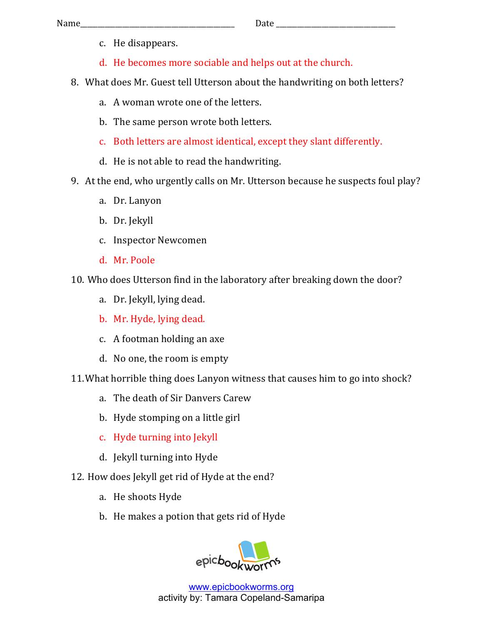- c. He disappears.
- d. He becomes more sociable and helps out at the church.
- 8. What does Mr. Guest tell Utterson about the handwriting on both letters?
	- a. A woman wrote one of the letters.
	- b. The same person wrote both letters.
	- c. Both letters are almost identical, except they slant differently.
	- d. He is not able to read the handwriting.
- 9. At the end, who urgently calls on Mr. Utterson because he suspects foul play?
	- a. Dr. Lanyon
	- b. Dr. Jekyll
	- c. Inspector Newcomen
	- d. Mr. Poole
- 10. Who does Utterson find in the laboratory after breaking down the door?
	- a. Dr. Jekyll, lying dead.
	- b. Mr. Hyde, lying dead.
	- c. A footman holding an axe
	- d. No one, the room is empty
- 11. What horrible thing does Lanyon witness that causes him to go into shock?
	- a. The death of Sir Danvers Carew
	- b. Hyde stomping on a little girl
	- c. Hyde turning into Jekyll
	- d. Jekyll turning into Hyde
- 12. How does Jekyll get rid of Hyde at the end?
	- a. He shoots Hyde
	- b. He makes a potion that gets rid of Hyde